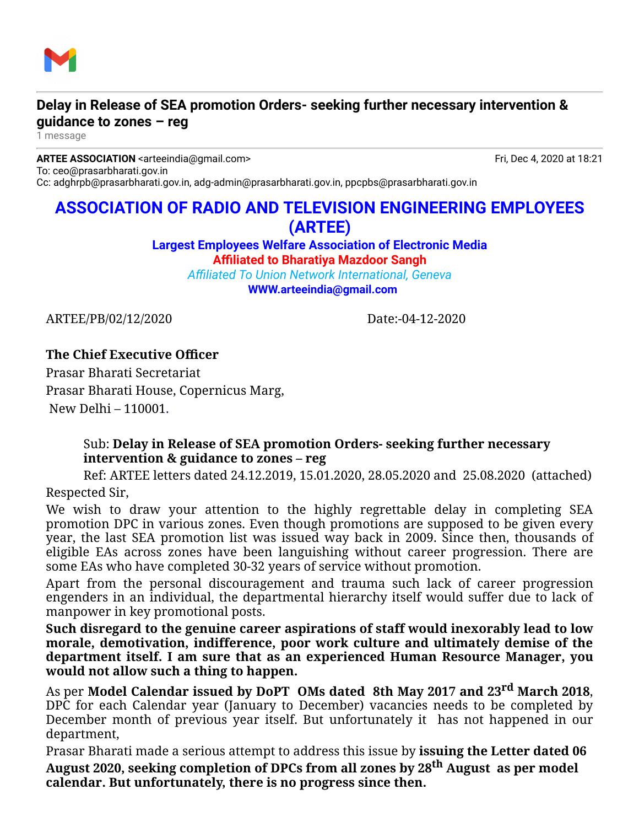

## **Delay in Release of SEA promotion Orders- seeking further necessary intervention & guidance to zones – reg**

1 message

**ARTEE ASSOCIATION** <arteeindia@gmail.com> **Fried Association** And The Fried Association of the 18:21 To: ceo@prasarbharati.gov.in Cc: adghrpb@prasarbharati.gov.in, adg-admin@prasarbharati.gov.in, ppcpbs@prasarbharati.gov.in

# **ASSOCIATION OF RADIO AND TELEVISION ENGINEERING EMPLOYEES (ARTEE)**

**Largest Employees Welfare Association of Electronic Media Affiliated to Bharatiya Mazdoor Sangh**

*Affiliated To Union Network International, Geneva* **[WWW.arteeindia@gmail.com](http://WWW.arteeindia@gmail.com/)**

ARTEE/PB/02/12/2020 Date:-04-12-2020

### **The Chief Executive Officer**

Prasar Bharati Secretariat Prasar Bharati House, Copernicus Marg, New Delhi – 110001.

#### Sub: **Delay in Release of SEA promotion Orders- seeking further necessary intervention & guidance to zones – reg**

Ref: ARTEE letters dated 24.12.2019, 15.01.2020, 28.05.2020 and 25.08.2020 (attached) Respected Sir,

We wish to draw your attention to the highly regrettable delay in completing SEA promotion DPC in various zones. Even though promotions are supposed to be given every year, the last SEA promotion list was issued way back in 2009. Since then, thousands of eligible EAs across zones have been languishing without career progression. There are some EAs who have completed 30-32 years of service without promotion.

Apart from the personal discouragement and trauma such lack of career progression engenders in an individual, the departmental hierarchy itself would suffer due to lack of manpower in key promotional posts.

**Such disregard to the genuine career aspirations of staff would inexorably lead to low morale, demotivation, indifference, poor work culture and ultimately demise of the department itself. I am sure that as an experienced Human Resource Manager, you would not allow such a thing to happen.** 

As per **Model Calendar issued by DoPT OMs dated 8th May 2017 and 23rd March 2018**, DPC for each Calendar year (January to December) vacancies needs to be completed by December month of previous year itself. But unfortunately it has not happened in our department,

Prasar Bharati made a serious attempt to address this issue by **issuing the Letter dated 06 August 2020, seeking completion of DPCs from all zones by 28th August as per model calendar. But unfortunately, there is no progress since then.**